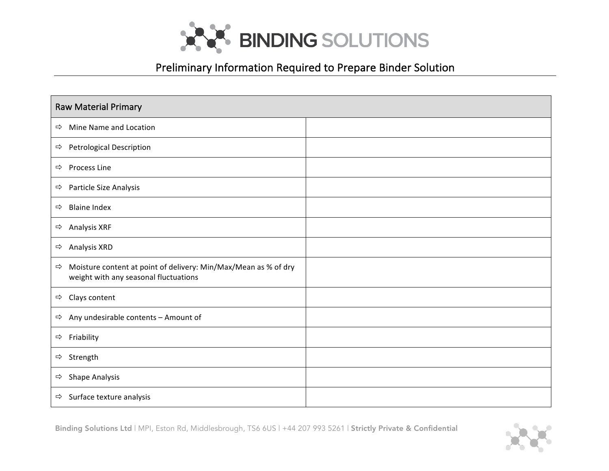

## Preliminary Information Required to Prepare Binder Solution

|               | <b>Raw Material Primary</b>                                                                              |  |  |  |  |
|---------------|----------------------------------------------------------------------------------------------------------|--|--|--|--|
| ⇨             | Mine Name and Location                                                                                   |  |  |  |  |
| ⇨             | <b>Petrological Description</b>                                                                          |  |  |  |  |
|               | $\Rightarrow$ Process Line                                                                               |  |  |  |  |
|               | $\Rightarrow$ Particle Size Analysis                                                                     |  |  |  |  |
| $\Rightarrow$ | <b>Blaine Index</b>                                                                                      |  |  |  |  |
| ⇨             | Analysis XRF                                                                                             |  |  |  |  |
| ⇨             | <b>Analysis XRD</b>                                                                                      |  |  |  |  |
| $\Rightarrow$ | Moisture content at point of delivery: Min/Max/Mean as % of dry<br>weight with any seasonal fluctuations |  |  |  |  |
|               | $\Rightarrow$ Clays content                                                                              |  |  |  |  |
|               | $\Rightarrow$ Any undesirable contents - Amount of                                                       |  |  |  |  |
| $\Rightarrow$ | Friability                                                                                               |  |  |  |  |
|               | → Strength                                                                                               |  |  |  |  |
| ⇨             | Shape Analysis                                                                                           |  |  |  |  |
|               | $\Rightarrow$ Surface texture analysis                                                                   |  |  |  |  |

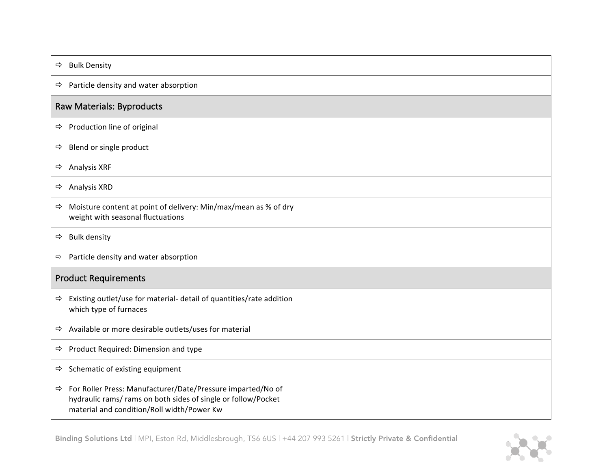| <b>Bulk Density</b><br>⇨                                                                                                                                                        |  |  |  |  |
|---------------------------------------------------------------------------------------------------------------------------------------------------------------------------------|--|--|--|--|
| $\Rightarrow$ Particle density and water absorption                                                                                                                             |  |  |  |  |
| <b>Raw Materials: Byproducts</b>                                                                                                                                                |  |  |  |  |
| Production line of original<br>⇨                                                                                                                                                |  |  |  |  |
| Blend or single product<br>⇨                                                                                                                                                    |  |  |  |  |
| <b>Analysis XRF</b><br>⇨                                                                                                                                                        |  |  |  |  |
| Analysis XRD<br>⇨                                                                                                                                                               |  |  |  |  |
| Moisture content at point of delivery: Min/max/mean as % of dry<br>⇨<br>weight with seasonal fluctuations                                                                       |  |  |  |  |
| <b>Bulk density</b><br>⇨                                                                                                                                                        |  |  |  |  |
| Particle density and water absorption<br>⇨                                                                                                                                      |  |  |  |  |
| <b>Product Requirements</b>                                                                                                                                                     |  |  |  |  |
| Existing outlet/use for material- detail of quantities/rate addition<br>⇨<br>which type of furnaces                                                                             |  |  |  |  |
| Available or more desirable outlets/uses for material<br>⇨                                                                                                                      |  |  |  |  |
| Product Required: Dimension and type<br>⇨                                                                                                                                       |  |  |  |  |
| Schematic of existing equipment<br>⇨                                                                                                                                            |  |  |  |  |
| For Roller Press: Manufacturer/Date/Pressure imparted/No of<br>⇨<br>hydraulic rams/ rams on both sides of single or follow/Pocket<br>material and condition/Roll width/Power Kw |  |  |  |  |

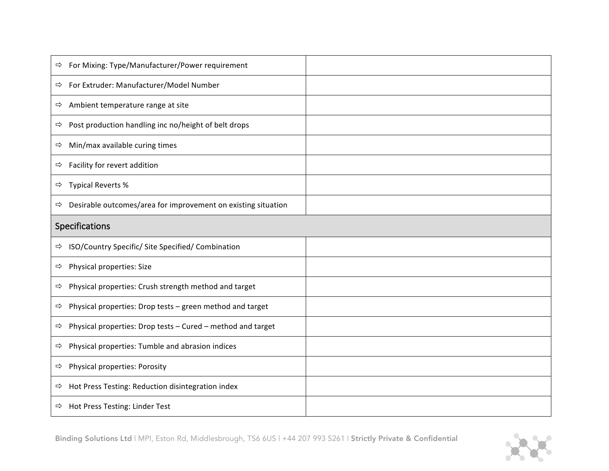| For Mixing: Type/Manufacturer/Power requirement<br>⇨                           |  |  |  |  |
|--------------------------------------------------------------------------------|--|--|--|--|
| For Extruder: Manufacturer/Model Number<br>⇨                                   |  |  |  |  |
| Ambient temperature range at site<br>⇨                                         |  |  |  |  |
| Post production handling inc no/height of belt drops<br>⇨                      |  |  |  |  |
| Min/max available curing times<br>⇨                                            |  |  |  |  |
| Facility for revert addition<br>$\Rightarrow$                                  |  |  |  |  |
| <b>Typical Reverts %</b><br>⇨                                                  |  |  |  |  |
| Desirable outcomes/area for improvement on existing situation<br>$\Rightarrow$ |  |  |  |  |
| Specifications                                                                 |  |  |  |  |
| ISO/Country Specific/ Site Specified/ Combination<br>⇨                         |  |  |  |  |
| Physical properties: Size<br>⇨                                                 |  |  |  |  |
| Physical properties: Crush strength method and target<br>⇨                     |  |  |  |  |
| Physical properties: Drop tests - green method and target<br>⇨                 |  |  |  |  |
| Physical properties: Drop tests - Cured - method and target<br>⇨               |  |  |  |  |
| Physical properties: Tumble and abrasion indices<br>⇨                          |  |  |  |  |
| Physical properties: Porosity<br>⇨                                             |  |  |  |  |
| Hot Press Testing: Reduction disintegration index<br>⇨                         |  |  |  |  |
| $\Rightarrow$ Hot Press Testing: Linder Test                                   |  |  |  |  |